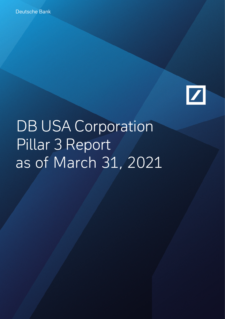

# DB USA Corporation Pillar 3 Report as of March 31, 2021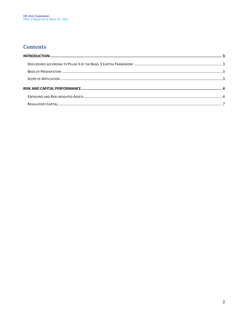#### **Contents**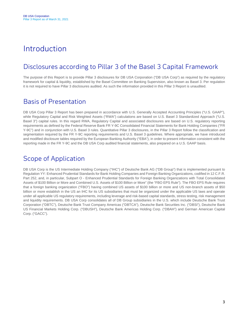## <span id="page-2-0"></span>Introduction

## <span id="page-2-1"></span>Disclosures according to Pillar 3 of the Basel 3 Capital Framework

The purpose of this Report is to provide Pillar 3 disclosures for DB USA Corporation ("DB USA Corp") as required by the regulatory framework for capital & liquidity, established by the Basel Committee on Banking Supervision, also known as Basel 3. Per regulation it is not required to have Pillar 3 disclosures audited. As such the information provided in this Pillar 3 Report is unaudited.

#### <span id="page-2-2"></span>Basis of Presentation

DB USA Corp Pillar 3 Report has been prepared in accordance with U.S. Generally Accepted Accounting Principles ("U.S. GAAP"), while Regulatory Capital and Risk Weighted Assets ("RWA") calculations are based on U.S. Basel 3 Standardized Approach ("U.S. Basel 3") capital rules. In this regard RWA, Regulatory Capital and associated disclosures are based on U.S. regulatory reporting requirements as defined by the Federal Reserve Bank FR Y-9C Consolidated Financial Statements for Bank Holding Companies ("FR Y-9C") and in conjunction with U.S. Basel 3 rules. Quantitative Pillar 3 disclosures, in the Pillar 3 Report follow the classification and segmentation required by the FR Y-9C reporting requirements and U.S. Basel 3 guidelines. Where appropriate, we have introduced and modified disclosure tables required by the European Banking Authority ("EBA"), in order to present information consistent with the reporting made in the FR Y-9C and the DB USA Corp audited financial statements, also prepared on a U.S. GAAP basis.

#### <span id="page-2-3"></span>Scope of Application

DB USA Corp is the US Intermediate Holding Company ("IHC") of Deutsche Bank AG ("DB Group") that is implemented pursuant to Regulation YY: Enhanced Prudential Standards for Bank Holding Companies and Foreign Banking Organizations, codified in 12 C.F.R. Part 252, and, in particular, Subpart O - Enhanced Prudential Standards for Foreign Banking Organizations with Total Consolidated Assets of \$100 Billion or More and Combined U.S. Assets of \$100 Billion or More" (the "FBO EPS Rule"). The FBO EPS Rule requires that a foreign banking organization ("FBO") having combined US assets of \$100 billion or more and US non-branch assets of \$50 billion or more establish in the US an IHC for its US subsidiaries that must be organized under the applicable US laws and operate under all applicable US regulatory requirements, including leverage and risk-based capital standards, stress testing, risk management and liquidity requirements. DB USA Corp consolidates all of DB Group subsidiaries in the U.S. which include Deutsche Bank Trust Corporation ("DBTC"), Deutsche Bank Trust Company Americas ("DBTCA"), Deutsche Bank Securities Inc. ("DBSI"), Deutsche Bank US Financial Markets Holding Corp. ("DBUSH"), Deutsche Bank Americas Holding Corp. ("DBAH") and German American Capital Corp. ("GACC").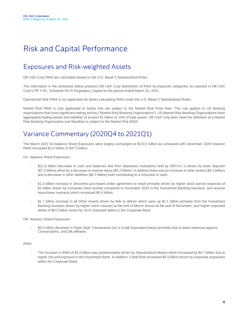# <span id="page-3-0"></span>Risk and Capital Performance

## <span id="page-3-1"></span>Exposures and Risk-weighted Assets

DB USA Corp RWA are calculated based on the U.S. Basel 3 Standardized Rules.

The information in the schedules below presents DB USA Corp distribution of RWA by exposure categories as reported in DB USA Corp's FR Y-9C, Schedule HC-R Regulatory Capital for the period ended March 31, 2021.

Operational Risk RWA is not applicable for banks calculating RWA under the U.S. Basel 3 Standardized Rules.

Market Risk RWA is only applicable to banks that are subject to the Market Risk Final Rule. This rule applies to US banking organizations that have significant trading activity ("Market Risk Banking Organizations"). US Market Risk Banking Organizations have aggregated trading assets and liabilities of at least \$1 billion or 10% of total assets. DB USA Corp does meet the definition of a Market Risk Banking Organization and therefore is subject to the Market Risk RWA.

## Variance Commentary (2020Q4 to 2021Q1)

The March 2021 On-balance Sheet Exposures were largely unchanged at \$110.1 billion as compared with December 2020 however RWA increased \$1.0 billion to \$37.3 billion.

On –balance Sheet Exposures:

- $$(3.1)$  billion decrease in cash and balances due from depository institutions held by DBTCA, is driven by lower deposits (\$7.2 billion) offset by a decrease in reverse repos (\$5.2 billion). In addition there was an increase in other assets (\$0.3 billion) and a decrease in other liabilities (\$0.3 billion) both contributing to a reduction in cash.
- \$1.3 billion increase in Securities purchased under agreement to resell primarily driven by higher stock borrow balances of \$1 billion driven by increased client activity compared to December 2020 in the Investment Banking business, and reverse repurchase contracts which increased \$0.4 billion.
- \$1.7 billion increase in all Other Assets driven by fails to deliver which were up \$1.1 billion primarily from the Investment Banking business driven by higher client volumes at the end of March versus at the end of December, and higher unposted debits of \$0.5 billion driven by ACH unposted debits in the Corporate Bank.

Off –balance Sheet Exposures:

- \$6.0 billion decrease in Repo Style Transactions (on a Credit Equivalent basis) primarily due to lower balances against Central banks, and DB affiliates.

#### RWA:

The increase in RWA of \$1.0 billion was predominately driven by Standardized Market which increased by \$0.7 billion due to higher risk and exposure in the Investment Bank. In addition, Credit Risk increased \$0.3 billion driven by corporate exposures within the Corporate Bank.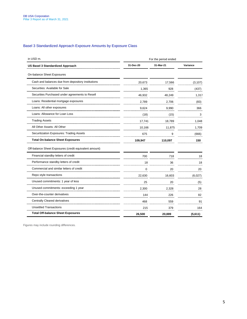#### Basel 3 Standardized Approach Exposure Amounts by Exposure Class

| in USD m.                                              |           | For the period ended |          |  |
|--------------------------------------------------------|-----------|----------------------|----------|--|
| <b>US Basel 3 Standardized Approach</b>                | 31-Dec-20 | 31-Mar-21            | Variance |  |
| On-balance Sheet Exposures                             |           |                      |          |  |
| Cash and balances due from depository institutions     | 20,673    | 17,566               | (3, 107) |  |
| Securities: Available for Sale                         | 1,365     | 928                  | (437)    |  |
| Securities Purchased under agreements to Resell        | 46,932    | 48.249               | 1,317    |  |
| Loans: Residential mortgage exposures                  | 2.789     | 2,706                | (83)     |  |
| Loans: All other exposures                             | 9,624     | 9,990                | 366      |  |
| Loans: Allowance for Loan Loss                         | (18)      | (15)                 | 3        |  |
| <b>Trading Assets</b>                                  | 17,741    | 18,789               | 1,048    |  |
| All Other Assets: All Other                            | 10,166    | 11,875               | 1,709    |  |
| Securitization Exposures: Trading Assets               | 675       | 9                    | (666)    |  |
| <b>Total On-balance Sheet Exposures</b>                | 109,947   | 110,097              | 150      |  |
| Off-balance Sheet Exposures (credit equivalent amount) |           |                      |          |  |
| Financial standby letters of credit                    | 700       | 718                  | 18       |  |
| Performance standby letters of credit                  | 18        | 36                   | 18       |  |
| Commercial and similar letters of credit               | $\Omega$  | 20                   | 20       |  |
| Repo style transactions                                | 22,630    | 16,603               | (6,027)  |  |
| Unused commitments: 1 year of less                     | 25        | 20                   | (5)      |  |
| Unused commitments: exceeding 1 year                   | 2,300     | 2,328                | 28       |  |
| Over-the-counter derivatives                           | 144       | 226                  | 82       |  |
| <b>Centrally Cleared derivatives</b>                   | 468       | 559                  | 91       |  |
| <b>Unsettled Transactions</b>                          | 215       | 379                  | 164      |  |
| <b>Total Off-balance Sheet Exposures</b>               | 26,500    | 20,889               | (5,611)  |  |

Figures may include rounding differences.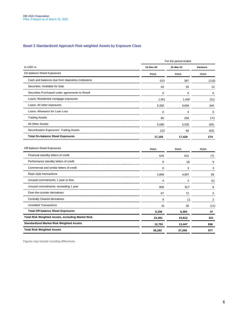#### Basel 3 Standardized Approach Risk-weighted Assets by Exposure Class

|                                                    | For the period ended |            |            |
|----------------------------------------------------|----------------------|------------|------------|
| in USD m.                                          | 31-Dec-20            | 31-Mar-21  | Variance   |
| On-balance Sheet Exposures                         | <b>RWA</b>           | <b>RWA</b> | <b>RWA</b> |
| Cash and balances due from depository institutions | 513                  | 397        | 116        |
| Securities: Available for Sale                     | 43                   | 55         |            |
| Securities Purchased under agreements to Resell    |                      |            |            |
| Loans: Residential mortgage exposures              | 1.451                | 1.430      | '21        |
| Loans: All other exposures                         | 9.350                | 9.694      |            |
| Loans: Allowance for Loan Loss                     |                      |            |            |
| <b>Trading Assets</b>                              | 85                   | 258        | 173        |
| All Other Assets                                   | 5.590                | 5.535      | (55)       |
| Securitization Exposures: Trading Assets           | 123                  | 60         | (63)       |
| <b>Total On-balance Sheet Exposures</b>            | 17,155               | 17.429     | 274        |

| Off-balance Sheet Exposures                              | <b>RWA</b> | <b>RWA</b> | <b>RWA</b> |
|----------------------------------------------------------|------------|------------|------------|
| Financial standby letters of credit                      | 529        |            |            |
| Performance standby letters of credit                    | 9          | 18         |            |
| Commercial and similar letters of credit                 |            |            |            |
| Repo style transactions                                  | 4.868      | 4.907      | 39         |
| Unused commitments: 1 year or less                       |            |            |            |
| Unused commitments: exceeding 1 year                     | 809        | 817        |            |
| Over-the-counter derivatives                             |            |            |            |
| Centrally Cleared derivatives                            |            |            |            |
| <b>Unsettled Transactions</b>                            |            | 30         | 11         |
| <b>Total Off-balance Sheet Exposures</b>                 | 6,336      | 6,383      | 47         |
| <b>Total Risk Weighted Assets, excluding Market Risk</b> | 23,491     | 23,812     | 321        |
| <b>Standardized Market Risk Weighted Assets</b>          | 12,791     | 13,447     | 656        |
| <b>Total Risk Weighted Assets</b>                        | 36,282     | 37,259     | 977        |
|                                                          |            |            |            |

Figures may include rounding differences.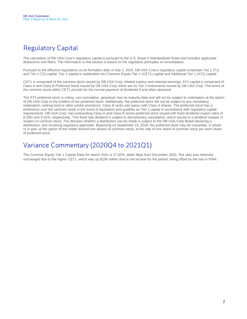## <span id="page-6-0"></span>Regulatory Capital

The calculation of DB USA Corp's regulatory capital is pursuant to the U.S. Basel 3 Standardized Rules and includes applicable deductions and filters. The information in this section is based on the regulatory principles of consolidation.

Pursuant to the effective regulations on its formation date of July 1, 2016, DB USA Corp's regulatory capital comprises Tier 1 (T1) and Tier 2 (T2) capital. Tier 1 capital is subdivided into Common Equity Tier 1 (CET1) capital and Additional Tier 1 (AT1) capital.

CET1 is comprised of the common stock issued by DB USA Corp, related surplus and retained earnings. AT1 capital is comprised of Class A and Class B Preferred Stock issued by DB USA Corp; there are no Tier 2 instruments issued by DB USA Corp. The terms of the common stock within CET1 provide for the normal payment of dividends if and when declared.

The AT1 preferred stock is voting, non-cumulative, perpetual, has no maturity date and will not be subject to redemption at the option of DB USA Corp or the holders of the preferred stock. Additionally, the preferred stock will not be subject to any mandatory redemption, sinking fund or other similar provisions. Class B ranks pari passu with Class A shares. The preferred stock has a preference over the common stock in the event of liquidation and qualifies as Tier 1 capital in accordance with regulatory capital requirements. DB USA Corp. has outstanding Class A and Class B series preferred stock issued with fixed dividend coupon rates of 8.28% and 5.31%, respectively. This fixed rate dividend is subject to discretionary cancelation, which results in a dividend stopper in respect of common stock. The decision whether a distribution can be made is subject to the DB USA Corp Board declaring a distribution, and receiving regulatory approvals. Beginning on September 23, 2026, the preferred stock may be converted, in whole or in part, at the option of the holder thereof into shares of common stock, at the rate of one share of common stock per each share of preferred stock.

## Variance Commentary (2020Q4 to 2021Q1)

The Common Equity Tier 1 Capital Ratio for March 2021 is 27.62%, down 9bps from December 2020. The ratio was relatively unchanged due to the higher CET1, which was up \$236 million due to net income for the period, being offset by the rise in RWA.